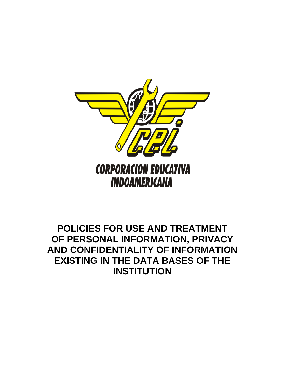

# **POLICIES FOR USE AND TREATMENT OF PERSONAL INFORMATION, PRIVACY AND CONFIDENTIALITY OF INFORMATION EXISTING IN THE DATA BASES OF THE INSTITUTION**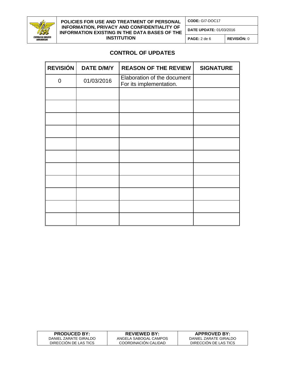

### **POLICIES FOR USE AND TREATMENT OF PERSONAL INFORMATION, PRIVACY AND CONFIDENTIALITY OF INFORMATION EXISTING IN THE DATA BASES OF THE INSTITUTION**

**CODE:** GI7-DOC17

**DATE UPDATE:** 01/03/2016

**PAGE:** 2 de 6 **REVISIÓN:** 0

## **CONTROL OF UPDATES**

| <b>REVISIÓN</b> | <b>DATE D/M/Y</b> | <b>REASON OF THE REVIEW</b>                            | <b>SIGNATURE</b> |
|-----------------|-------------------|--------------------------------------------------------|------------------|
| $\mathbf 0$     | 01/03/2016        | Elaboration of the document<br>For its implementation. |                  |
|                 |                   |                                                        |                  |
|                 |                   |                                                        |                  |
|                 |                   |                                                        |                  |
|                 |                   |                                                        |                  |
|                 |                   |                                                        |                  |
|                 |                   |                                                        |                  |
|                 |                   |                                                        |                  |
|                 |                   |                                                        |                  |
|                 |                   |                                                        |                  |
|                 |                   |                                                        |                  |
|                 |                   |                                                        |                  |

| <b>PRODUCED BY:</b>   | <b>REVIEWED BY:</b>   | <b>APPROVED BY:</b>   |
|-----------------------|-----------------------|-----------------------|
| DANIEL ZARATE GIRALDO | ANGELA SABOGAL CAMPOS | DANIEL ZARATE GIRALDO |
| DIRECCION DE LAS TICS | COORDINACION CALIDAD  | DIRECCION DE LAS TICS |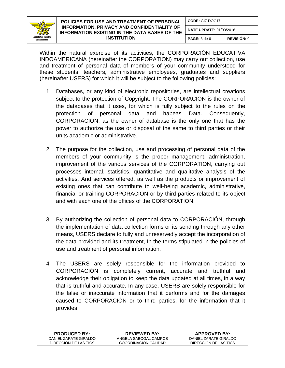

## **POLICIES FOR USE AND TREATMENT OF PERSONAL INFORMATION, PRIVACY AND CONFIDENTIALITY OF INFORMATION EXISTING IN THE DATA BASES OF THE INSTITUTION**

**DATE UPDATE:** 01/03/2016

**PAGE:** 3 de 6 **REVISIÓN:** 0

Within the natural exercise of its activities, the CORPORACIÓN EDUCATIVA INDOAMERICANA (hereinafter the CORPORATION) may carry out collection, use and treatment of personal data of members of your community understood for these students, teachers, administrative employees, graduates and suppliers (hereinafter USERS) for which it will be subject to the following policies:

- 1. Databases, or any kind of electronic repositories, are intellectual creations subject to the protection of Copyright. The CORPORACIÓN is the owner of the databases that it uses, for which is fully subject to the rules on the protection of personal data and habeas Data. Consequently, CORPORACIÓN, as the owner of database is the only one that has the power to authorize the use or disposal of the same to third parties or their units academic or administrative.
- 2. The purpose for the collection, use and processing of personal data of the members of your community is the proper management, administration, improvement of the various services of the CORPORATION, carrying out processes internal, statistics, quantitative and qualitative analysis of the activities, And services offered, as well as the products or improvement of existing ones that can contribute to well-being academic, administrative, financial or training CORPORACIÓN or by third parties related to its object and with each one of the offices of the CORPORATION.
- 3. By authorizing the collection of personal data to CORPORACIÓN, through the implementation of data collection forms or its sending through any other means, USERS declare to fully and unreservedly accept the incorporation of the data provided and its treatment, In the terms stipulated in the policies of use and treatment of personal information.
- 4. The USERS are solely responsible for the information provided to CORPORACIÓN is completely current, accurate and truthful and acknowledge their obligation to keep the data updated at all times, in a way that is truthful and accurate. In any case, USERS are solely responsible for the false or inaccurate information that it performs and for the damages caused to CORPORACIÓN or to third parties, for the information that it provides.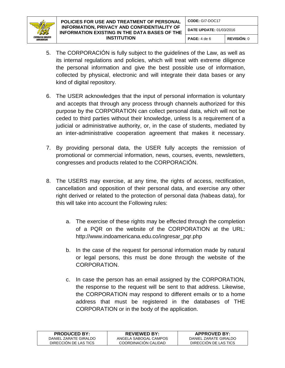

**PAGE:** 4 de 6 **REVISIÓN:** 0

- 5. The CORPORACIÓN is fully subject to the guidelines of the Law, as well as its internal regulations and policies, which will treat with extreme diligence the personal information and give the best possible use of information, collected by physical, electronic and will integrate their data bases or any kind of digital repository.
- 6. The USER acknowledges that the input of personal information is voluntary and accepts that through any process through channels authorized for this purpose by the CORPORATION can collect personal data, which will not be ceded to third parties without their knowledge, unless Is a requirement of a judicial or administrative authority, or, in the case of students, mediated by an inter-administrative cooperation agreement that makes it necessary.
- 7. By providing personal data, the USER fully accepts the remission of promotional or commercial information, news, courses, events, newsletters, congresses and products related to the CORPORACIÓN.
- 8. The USERS may exercise, at any time, the rights of access, rectification, cancellation and opposition of their personal data, and exercise any other right derived or related to the protection of personal data (habeas data), for this will take into account the Following rules:
	- a. The exercise of these rights may be effected through the completion of a PQR on the website of the CORPORATION at the URL: http://www.indoamericana.edu.co/ingresar\_pqr.php
	- b. In the case of the request for personal information made by natural or legal persons, this must be done through the website of the CORPORATION.
	- c. In case the person has an email assigned by the CORPORATION, the response to the request will be sent to that address. Likewise, the CORPORATION may respond to different emails or to a home address that must be registered in the databases of THE CORPORATION or in the body of the application.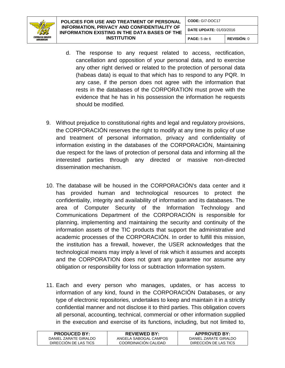

- d. The response to any request related to access, rectification, cancellation and opposition of your personal data, and to exercise any other right derived or related to the protection of personal data (habeas data) is equal to that which has to respond to any PQR. In any case, if the person does not agree with the information that rests in the databases of the CORPORATION must prove with the evidence that he has in his possession the information he requests should be modified.
- 9. Without prejudice to constitutional rights and legal and regulatory provisions, the CORPORACIÓN reserves the right to modify at any time its policy of use and treatment of personal information, privacy and confidentiality of information existing in the databases of the CORPORACIÓN, Maintaining due respect for the laws of protection of personal data and informing all the interested parties through any directed or massive non-directed dissemination mechanism.
- 10. The database will be housed in the CORPORACIÓN's data center and it has provided human and technological resources to protect the confidentiality, integrity and availability of information and its databases. The area of Computer Security of the Information Technology and Communications Department of the CORPORACIÓN is responsible for planning, implementing and maintaining the security and continuity of the information assets of the TIC products that support the administrative and academic processes of the CORPORACIÓN. In order to fulfill this mission, the institution has a firewall, however, the USER acknowledges that the technological means may imply a level of risk which it assumes and accepts and the CORPORATION does not grant any guarantee nor assume any obligation or responsibility for loss or subtraction Information system.
- 11. Each and every person who manages, updates, or has access to information of any kind, found in the CORPORACIÓN Databases, or any type of electronic repositories, undertakes to keep and maintain it in a strictly confidential manner and not disclose it to third parties. This obligation covers all personal, accounting, technical, commercial or other information supplied in the execution and exercise of its functions, including, but not limited to,

| <b>PRODUCED BY:</b>   | <b>REVIEWED BY:</b>   | <b>APPROVED BY:</b>   |
|-----------------------|-----------------------|-----------------------|
| DANIEL ZARATE GIRALDO | ANGELA SABOGAL CAMPOS | DANIEL ZARATE GIRALDO |
| DIRECCION DE LAS TICS | COORDINACION CALIDAD  | DIRECCION DE LAS TICS |